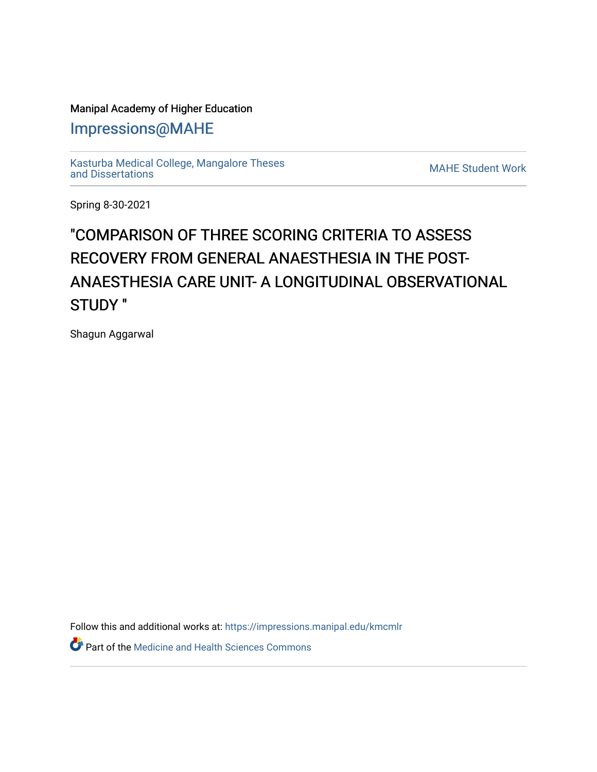### Manipal Academy of Higher Education

[Impressions@MAHE](https://impressions.manipal.edu/)

[Kasturba Medical College, Mangalore Theses](https://impressions.manipal.edu/kmcmlr) [and Dissertations](https://impressions.manipal.edu/kmcmlr) [MAHE Student Work](https://impressions.manipal.edu/student-work) 

Spring 8-30-2021

# "COMPARISON OF THREE SCORING CRITERIA TO ASSESS RECOVERY FROM GENERAL ANAESTHESIA IN THE POST-ANAESTHESIA CARE UNIT- A LONGITUDINAL OBSERVATIONAL STUDY "

Shagun Aggarwal

Follow this and additional works at: [https://impressions.manipal.edu/kmcmlr](https://impressions.manipal.edu/kmcmlr?utm_source=impressions.manipal.edu%2Fkmcmlr%2F254&utm_medium=PDF&utm_campaign=PDFCoverPages) 

**Part of the Medicine and Health Sciences Commons**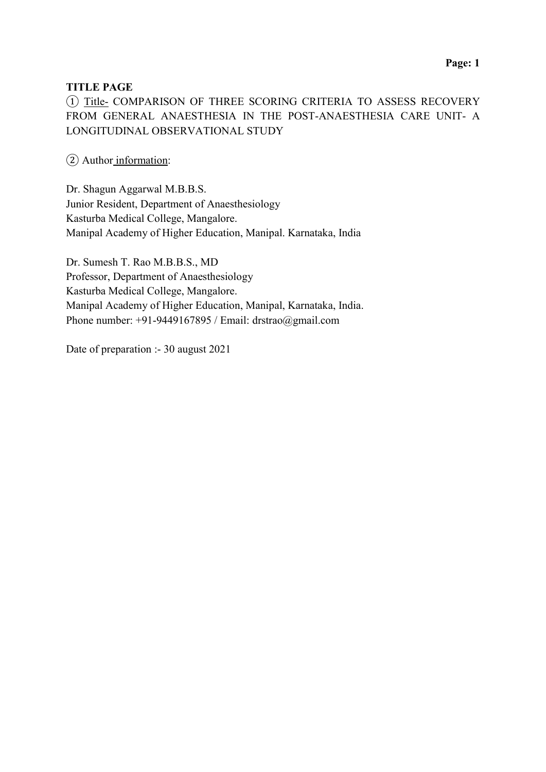#### TITLE PAGE

① Title- COMPARISON OF THREE SCORING CRITERIA TO ASSESS RECOVERY FROM GENERAL ANAESTHESIA IN THE POST-ANAESTHESIA CARE UNIT- A LONGITUDINAL OBSERVATIONAL STUDY

② Author information:

Dr. Shagun Aggarwal M.B.B.S. Junior Resident, Department of Anaesthesiology Kasturba Medical College, Mangalore. Manipal Academy of Higher Education, Manipal. Karnataka, India

Dr. Sumesh T. Rao M.B.B.S., MD Professor, Department of Anaesthesiology Kasturba Medical College, Mangalore. Manipal Academy of Higher Education, Manipal, Karnataka, India. Phone number:  $+91-9449167895$  / Email: drstrao@gmail.com

Date of preparation :- 30 august 2021